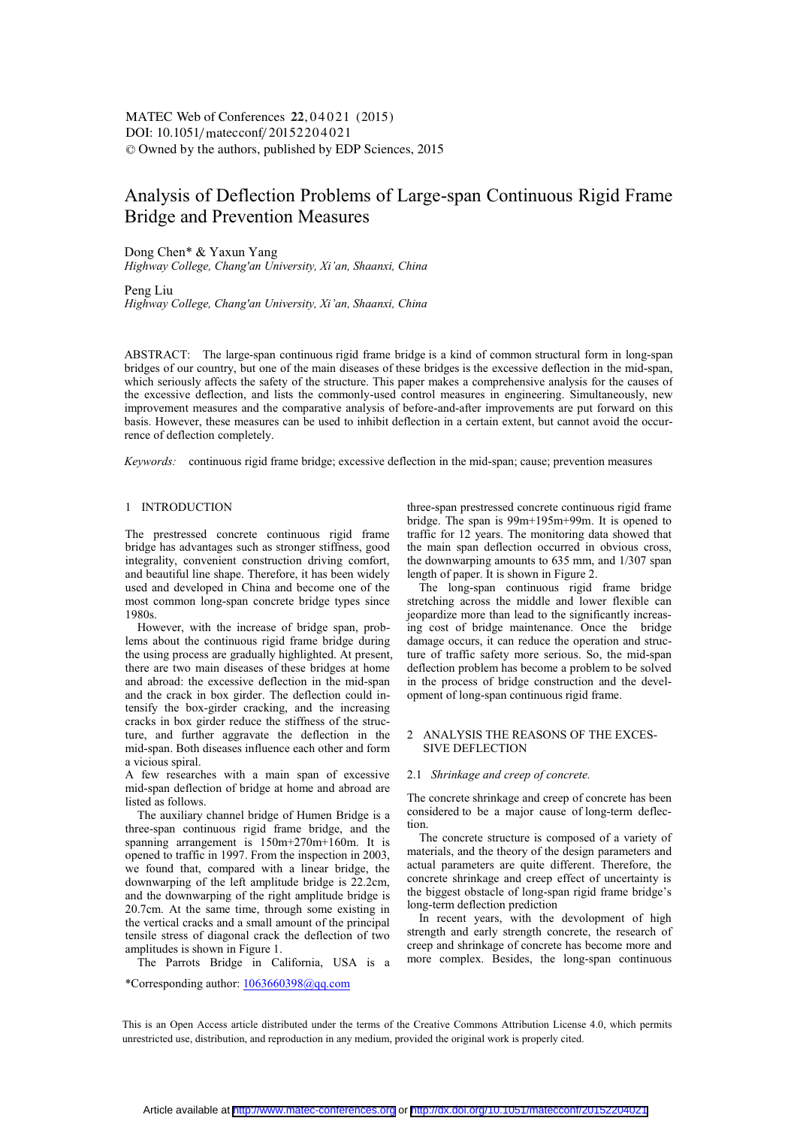# DOI:  $10.1051/m \text{ at } 20152204021$ -<sup>C</sup> Owned by the authors, published by EDP Sciences, 2015 MATEC Web of Conferences 22, 04021 (2015)

# Analysis of Deflection Problems of Large-span Continuous Rigid Frame Bridge and Prevention Measures

Dong Chen\* & Yaxun Yang *Highway College, Chang'an University, Xi'an, Shaanxi, China* 

Peng Liu *Highway College, Chang'an University, Xi'an, Shaanxi, China* 

ABSTRACT: The large-span continuous rigid frame bridge is a kind of common structural form in long-span bridges of our country, but one of the main diseases of these bridges is the excessive deflection in the mid-span, which seriously affects the safety of the structure. This paper makes a comprehensive analysis for the causes of the excessive deflection, and lists the commonly-used control measures in engineering. Simultaneously, new improvement measures and the comparative analysis of before-and-after improvements are put forward on this basis. However, these measures can be used to inhibit deflection in a certain extent, but cannot avoid the occurrence of deflection completely.

*Keywords:* continuous rigid frame bridge; excessive deflection in the mid-span; cause; prevention measures

#### 1 INTRODUCTION

The prestressed concrete continuous rigid frame bridge has advantages such as stronger stiffness, good integrality, convenient construction driving comfort, and beautiful line shape. Therefore, it has been widely used and developed in China and become one of the most common long-span concrete bridge types since 1980s.

 However, with the increase of bridge span, problems about the continuous rigid frame bridge during the using process are gradually highlighted. At present, there are two main diseases of these bridges at home and abroad: the excessive deflection in the mid-span and the crack in box girder. The deflection could intensify the box-girder cracking, and the increasing cracks in box girder reduce the stiffness of the structure, and further aggravate the deflection in the mid-span. Both diseases influence each other and form a vicious spiral.

A few researches with a main span of excessive mid-span deflection of bridge at home and abroad are listed as follows.

 The auxiliary channel bridge of Humen Bridge is a three-span continuous rigid frame bridge, and the spanning arrangement is 150m+270m+160m. It is opened to traffic in 1997. From the inspection in 2003, we found that, compared with a linear bridge, the downwarping of the left amplitude bridge is 22.2cm, and the downwarping of the right amplitude bridge is 20.7cm. At the same time, through some existing in the vertical cracks and a small amount of the principal tensile stress of diagonal crack the deflection of two amplitudes is shown in Figure 1.

The Parrots Bridge in California, USA is a

\*Corresponding author: 1063660398@qq.com

three-span prestressed concrete continuous rigid frame bridge. The span is 99m+195m+99m. It is opened to traffic for 12 years. The monitoring data showed that the main span deflection occurred in obvious cross, the downwarping amounts to 635 mm, and 1/307 span length of paper. It is shown in Figure 2.

The long-span continuous rigid frame bridge stretching across the middle and lower flexible can jeopardize more than lead to the significantly increasing cost of bridge maintenance. Once the bridge damage occurs, it can reduce the operation and structure of traffic safety more serious. So, the mid-span deflection problem has become a problem to be solved in the process of bridge construction and the development of long-span continuous rigid frame.

#### 2 ANALYSIS THE REASONS OF THE EXCES-SIVE DEFLECTION

#### 2.1 *Shrinkage and creep of concrete.*

The concrete shrinkage and creep of concrete has been considered to be a major cause of long-term deflection.

 The concrete structure is composed of a variety of materials, and the theory of the design parameters and actual parameters are quite different. Therefore, the concrete shrinkage and creep effect of uncertainty is the biggest obstacle of long-span rigid frame bridge's long-term deflection prediction

In recent years, with the devolopment of high strength and early strength concrete, the research of creep and shrinkage of concrete has become more and more complex. Besides, the long-span continuous

This is an Open Access article distributed under the terms of the Creative Commons Attribution License 4.0, which permits unrestricted use, distribution, and reproduction in any medium, provided the original work is properly cited.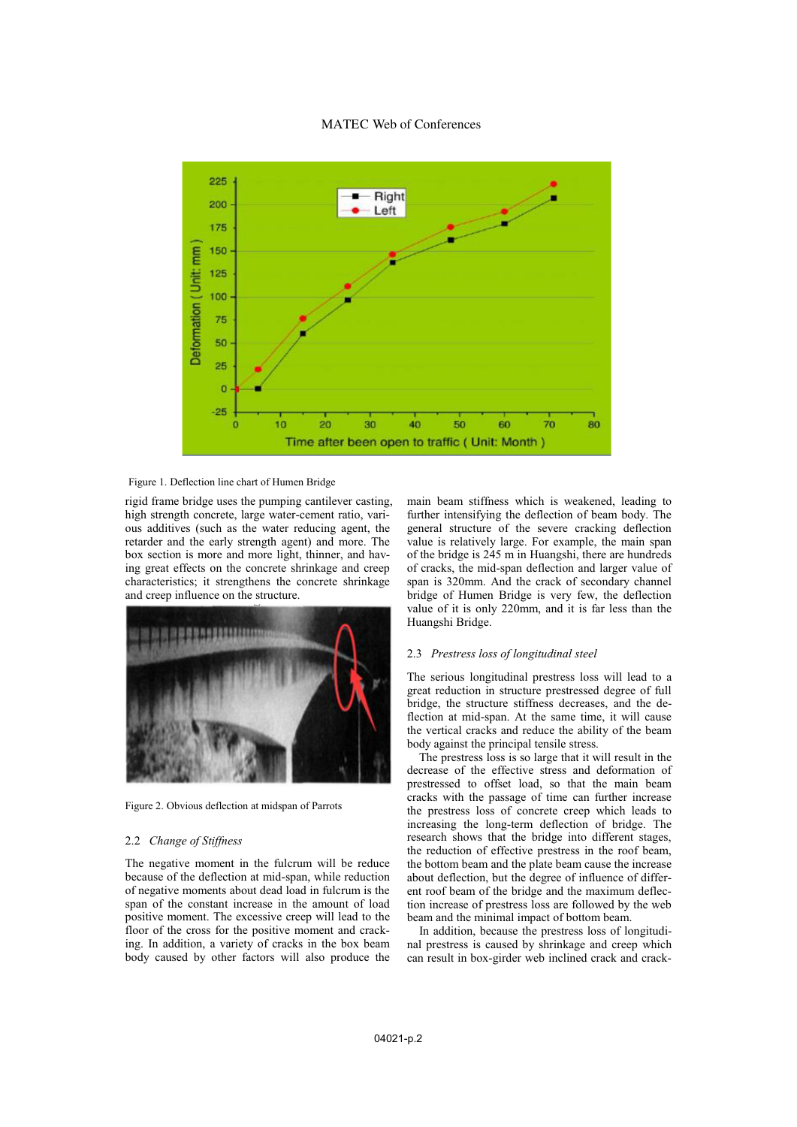## MATEC Web of Conferences



Figure 1. Deflection line chart of Humen Bridge

rigid frame bridge uses the pumping cantilever casting, high strength concrete, large water-cement ratio, various additives (such as the water reducing agent, the retarder and the early strength agent) and more. The box section is more and more light, thinner, and having great effects on the concrete shrinkage and creep characteristics; it strengthens the concrete shrinkage and creep influence on the structure.



Figure 2. Obvious deflection at midspan of Parrots

## 2.2 *Change of Stiffness*

The negative moment in the fulcrum will be reduce because of the deflection at mid-span, while reduction of negative moments about dead load in fulcrum is the span of the constant increase in the amount of load positive moment. The excessive creep will lead to the floor of the cross for the positive moment and cracking. In addition, a variety of cracks in the box beam body caused by other factors will also produce the

main beam stiffness which is weakened, leading to further intensifying the deflection of beam body. The general structure of the severe cracking deflection value is relatively large. For example, the main span of the bridge is 245 m in Huangshi, there are hundreds of cracks, the mid-span deflection and larger value of span is 320mm. And the crack of secondary channel bridge of Humen Bridge is very few, the deflection value of it is only 220mm, and it is far less than the Huangshi Bridge.

## 2.3 *Prestress loss of longitudinal steel*

The serious longitudinal prestress loss will lead to a great reduction in structure prestressed degree of full bridge, the structure stiffness decreases, and the deflection at mid-span. At the same time, it will cause the vertical cracks and reduce the ability of the beam body against the principal tensile stress.

The prestress loss is so large that it will result in the decrease of the effective stress and deformation of prestressed to offset load, so that the main beam cracks with the passage of time can further increase the prestress loss of concrete creep which leads to increasing the long-term deflection of bridge. The research shows that the bridge into different stages, the reduction of effective prestress in the roof beam, the bottom beam and the plate beam cause the increase about deflection, but the degree of influence of different roof beam of the bridge and the maximum deflection increase of prestress loss are followed by the web beam and the minimal impact of bottom beam.

In addition, because the prestress loss of longitudinal prestress is caused by shrinkage and creep which can result in box-girder web inclined crack and crack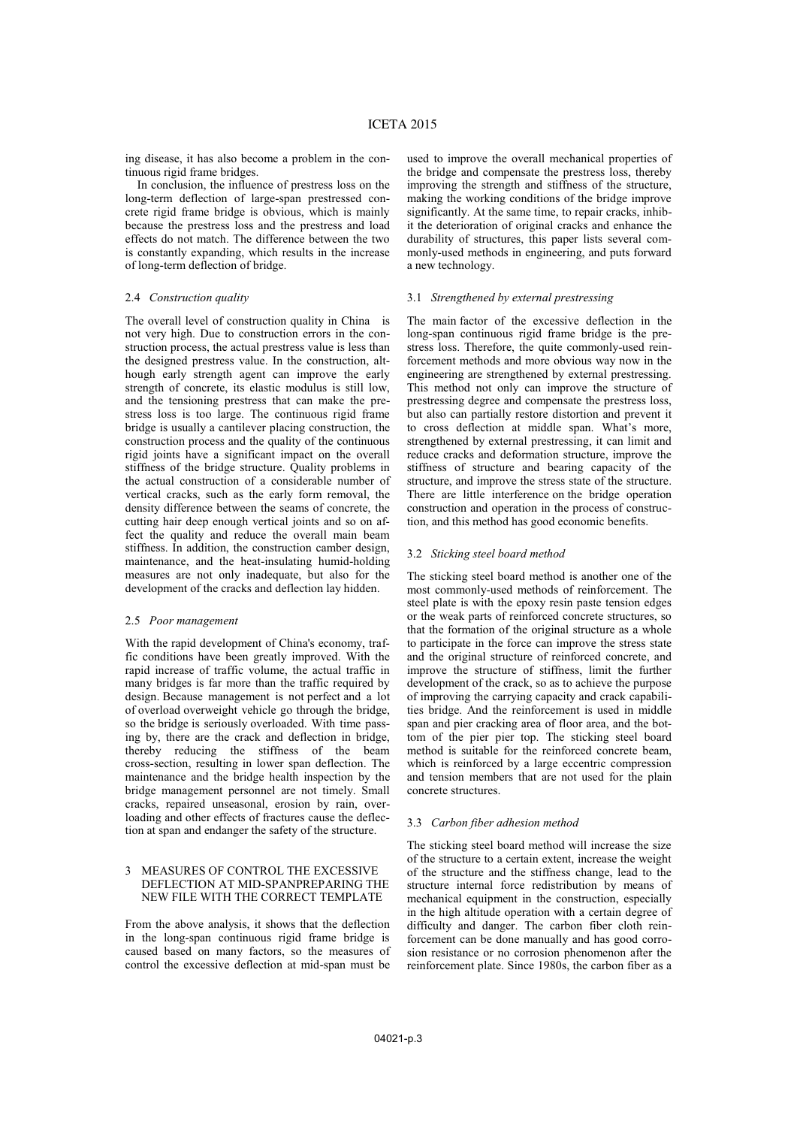ing disease, it has also become a problem in the continuous rigid frame bridges.

In conclusion, the influence of prestress loss on the long-term deflection of large-span prestressed concrete rigid frame bridge is obvious, which is mainly because the prestress loss and the prestress and load effects do not match. The difference between the two is constantly expanding, which results in the increase of long-term deflection of bridge.

#### 2.4 *Construction quality*

The overall level of construction quality in China is not very high. Due to construction errors in the construction process, the actual prestress value is less than the designed prestress value. In the construction, although early strength agent can improve the early strength of concrete, its elastic modulus is still low, and the tensioning prestress that can make the prestress loss is too large. The continuous rigid frame bridge is usually a cantilever placing construction, the construction process and the quality of the continuous rigid joints have a significant impact on the overall stiffness of the bridge structure. Quality problems in the actual construction of a considerable number of vertical cracks, such as the early form removal, the density difference between the seams of concrete, the cutting hair deep enough vertical joints and so on affect the quality and reduce the overall main beam stiffness. In addition, the construction camber design, maintenance, and the heat-insulating humid-holding measures are not only inadequate, but also for the development of the cracks and deflection lay hidden.

#### 2.5 *Poor management*

With the rapid development of China's economy, traffic conditions have been greatly improved. With the rapid increase of traffic volume, the actual traffic in many bridges is far more than the traffic required by design. Because management is not perfect and a lot of overload overweight vehicle go through the bridge, so the bridge is seriously overloaded. With time passing by, there are the crack and deflection in bridge, thereby reducing the stiffness of the beam cross-section, resulting in lower span deflection. The maintenance and the bridge health inspection by the bridge management personnel are not timely. Small cracks, repaired unseasonal, erosion by rain, overloading and other effects of fractures cause the deflection at span and endanger the safety of the structure.

#### 3 MEASURES OF CONTROL THE EXCESSIVE DEFLECTION AT MID-SPANPREPARING THE NEW FILE WITH THE CORRECT TEMPLATE

From the above analysis, it shows that the deflection in the long-span continuous rigid frame bridge is caused based on many factors, so the measures of control the excessive deflection at mid-span must be

used to improve the overall mechanical properties of the bridge and compensate the prestress loss, thereby improving the strength and stiffness of the structure, making the working conditions of the bridge improve significantly. At the same time, to repair cracks, inhibit the deterioration of original cracks and enhance the durability of structures, this paper lists several commonly-used methods in engineering, and puts forward a new technology.

#### 3.1 *Strengthened by external prestressing*

The main factor of the excessive deflection in the long-span continuous rigid frame bridge is the prestress loss. Therefore, the quite commonly-used reinforcement methods and more obvious way now in the engineering are strengthened by external prestressing. This method not only can improve the structure of prestressing degree and compensate the prestress loss, but also can partially restore distortion and prevent it to cross deflection at middle span. What's more, strengthened by external prestressing, it can limit and reduce cracks and deformation structure, improve the stiffness of structure and bearing capacity of the structure, and improve the stress state of the structure. There are little interference on the bridge operation construction and operation in the process of construction, and this method has good economic benefits.

#### 3.2 *Sticking steel board method*

The sticking steel board method is another one of the most commonly-used methods of reinforcement. The steel plate is with the epoxy resin paste tension edges or the weak parts of reinforced concrete structures, so that the formation of the original structure as a whole to participate in the force can improve the stress state and the original structure of reinforced concrete, and improve the structure of stiffness, limit the further development of the crack, so as to achieve the purpose of improving the carrying capacity and crack capabilities bridge. And the reinforcement is used in middle span and pier cracking area of floor area, and the bottom of the pier pier top. The sticking steel board method is suitable for the reinforced concrete beam, which is reinforced by a large eccentric compression and tension members that are not used for the plain concrete structures.

#### 3.3 *Carbon fiber adhesion method*

The sticking steel board method will increase the size of the structure to a certain extent, increase the weight of the structure and the stiffness change, lead to the structure internal force redistribution by means of mechanical equipment in the construction, especially in the high altitude operation with a certain degree of difficulty and danger. The carbon fiber cloth reinforcement can be done manually and has good corrosion resistance or no corrosion phenomenon after the reinforcement plate. Since 1980s, the carbon fiber as a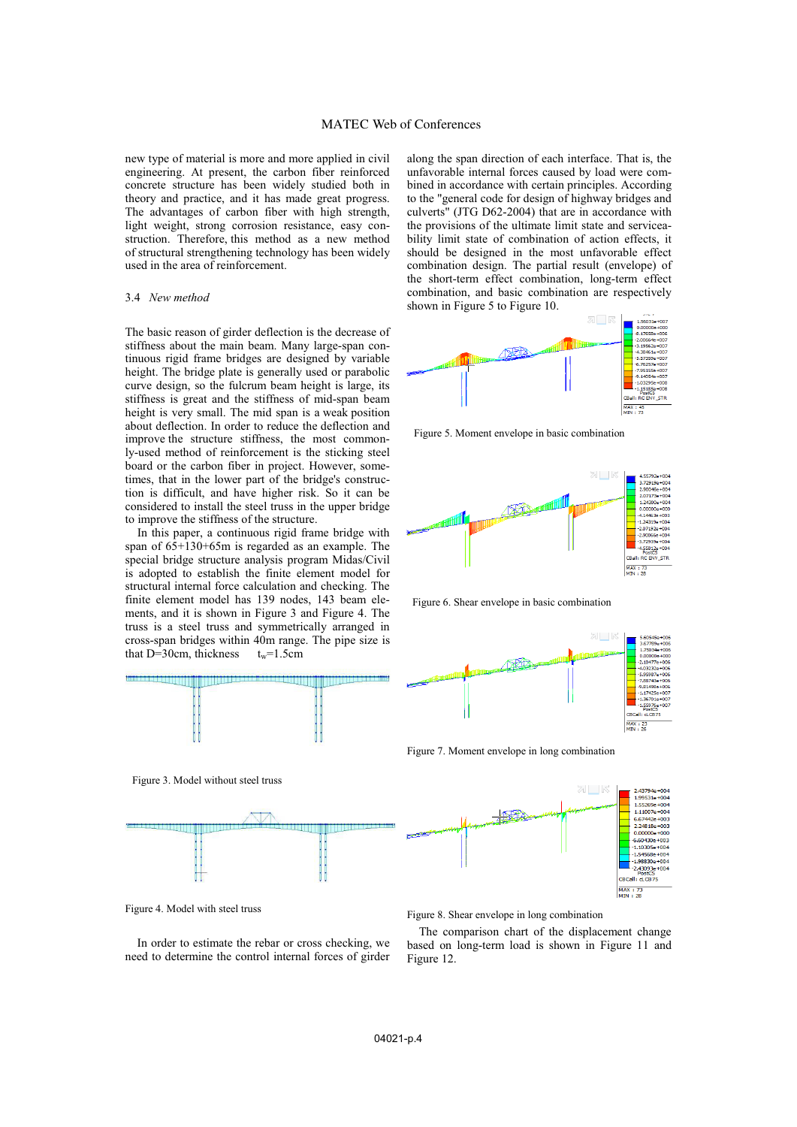## MATEC Web of Conferences

new type of material is more and more applied in civil engineering. At present, the carbon fiber reinforced concrete structure has been widely studied both in theory and practice, and it has made great progress. The advantages of carbon fiber with high strength, light weight, strong corrosion resistance, easy construction. Therefore, this method as a new method of structural strengthening technology has been widely used in the area of reinforcement.

#### 3.4 *New method*

The basic reason of girder deflection is the decrease of stiffness about the main beam. Many large-span continuous rigid frame bridges are designed by variable height. The bridge plate is generally used or parabolic curve design, so the fulcrum beam height is large, its stiffness is great and the stiffness of mid-span beam height is very small. The mid span is a weak position about deflection. In order to reduce the deflection and improve the structure stiffness, the most commonly-used method of reinforcement is the sticking steel board or the carbon fiber in project. However, sometimes, that in the lower part of the bridge's construction is difficult, and have higher risk. So it can be considered to install the steel truss in the upper bridge to improve the stiffness of the structure.

In this paper, a continuous rigid frame bridge with span of 65+130+65m is regarded as an example. The special bridge structure analysis program Midas/Civil is adopted to establish the finite element model for structural internal force calculation and checking. The finite element model has 139 nodes, 143 beam elements, and it is shown in Figure 3 and Figure 4. The truss is a steel truss and symmetrically arranged in cross-span bridges within 40m range. The pipe size is that D=30cm, thickness  $t_w=1.5cm$ 



Figure 3. Model without steel truss



Figure 4. Model with steel truss

In order to estimate the rebar or cross checking, we need to determine the control internal forces of girder along the span direction of each interface. That is, the unfavorable internal forces caused by load were combined in accordance with certain principles. According to the "general code for design of highway bridges and culverts" (JTG D62-2004) that are in accordance with the provisions of the ultimate limit state and serviceability limit state of combination of action effects, it should be designed in the most unfavorable effect combination design. The partial result (envelope) of the short-term effect combination, long-term effect combination, and basic combination are respectively shown in Figure 5 to Figure 10.



Figure 5. Moment envelope in basic combination



Figure 6. Shear envelope in basic combination



Figure 7. Moment envelope in long combination



Figure 8. Shear envelope in long combination

The comparison chart of the displacement change based on long-term load is shown in Figure 11 and Figure 12.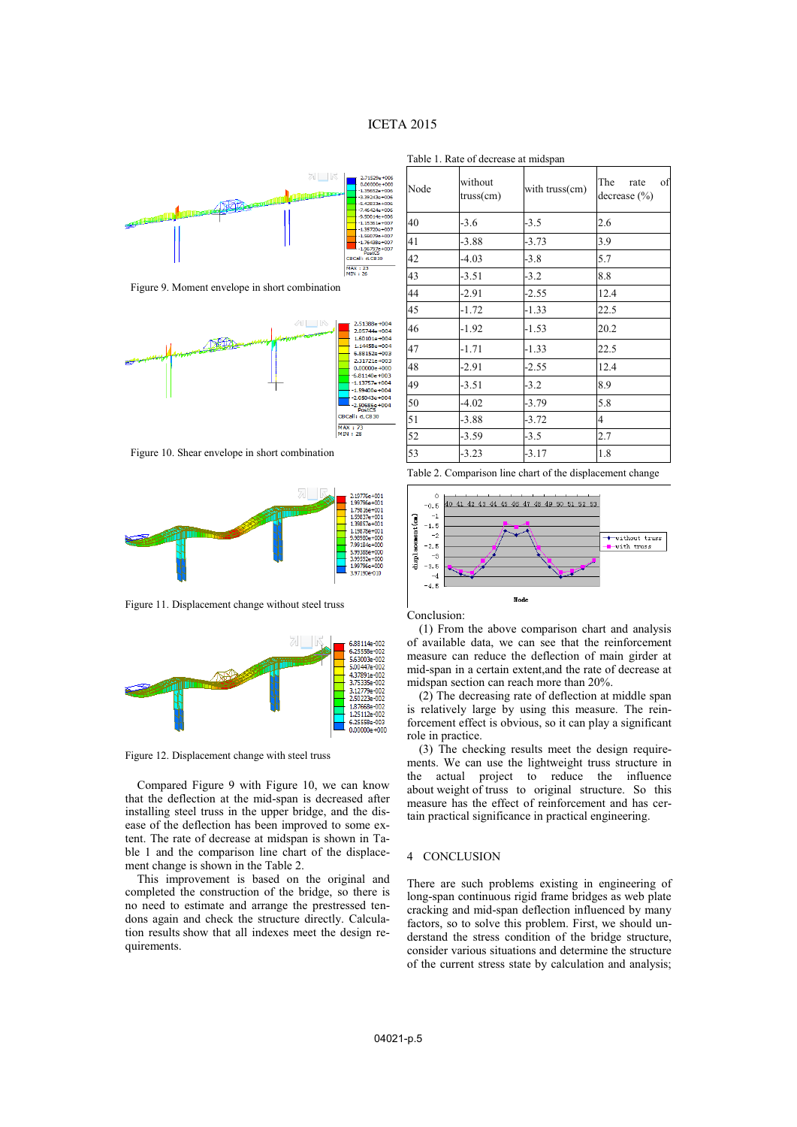## ICETA 2015



Figure 9. Moment envelope in short combination



Figure 10. Shear envelope in short combination



Figure 11. Displacement change without steel truss



Figure 12. Displacement change with steel truss

Compared Figure 9 with Figure 10, we can know that the deflection at the mid-span is decreased after installing steel truss in the upper bridge, and the disease of the deflection has been improved to some extent. The rate of decrease at midspan is shown in Table 1 and the comparison line chart of the displacement change is shown in the Table 2.

This improvement is based on the original and completed the construction of the bridge, so there is no need to estimate and arrange the prestressed tendons again and check the structure directly. Calculation results show that all indexes meet the design requirements.

| Table 1. Rate of decrease at midspan |                      |                |                                       |
|--------------------------------------|----------------------|----------------|---------------------------------------|
| Node                                 | without<br>truss(cm) | with truss(cm) | of<br>The<br>rate<br>decrease $(\% )$ |
| 40                                   | $-3.6$               | $-3.5$         | 2.6                                   |
| 41                                   | $-3.88$              | $-3.73$        | 3.9                                   |
| 42                                   | $-4.03$              | $-3.8$         | 5.7                                   |
| 43                                   | $-3.51$              | $-3.2$         | 8.8                                   |
| 44                                   | $-2.91$              | $-2.55$        | 12.4                                  |
| 45                                   | $-1.72$              | $-1.33$        | 22.5                                  |
| 46                                   | $-1.92$              | -1.53          | 20.2                                  |
| 47                                   | $-1.71$              | -1.33          | 22.5                                  |
| 48                                   | $-2.91$              | $-2.55$        | 12.4                                  |
| 49                                   | $-3.51$              | $-3.2$         | 8.9                                   |
| 50                                   | $-4.02$              | $-3.79$        | 5.8                                   |
| 51                                   | $-3.88$              | $-3.72$        | 4                                     |
| 52                                   | $-3.59$              | $-3.5$         | 2.7                                   |
| 53                                   | $-3.23$              | $-3.17$        | 1.8                                   |

Table 2. Comparison line chart of the displacement change



Conclusion:

(1) From the above comparison chart and analysis of available data, we can see that the reinforcement measure can reduce the deflection of main girder at mid-span in a certain extent,and the rate of decrease at midspan section can reach more than 20%.

(2) The decreasing rate of deflection at middle span is relatively large by using this measure. The reinforcement effect is obvious, so it can play a significant role in practice.

(3) The checking results meet the design requirements. We can use the lightweight truss structure in the actual project to reduce the influence about weight of truss to original structure. So this measure has the effect of reinforcement and has certain practical significance in practical engineering.

## 4 CONCLUSION

There are such problems existing in engineering of long-span continuous rigid frame bridges as web plate cracking and mid-span deflection influenced by many factors, so to solve this problem. First, we should understand the stress condition of the bridge structure, consider various situations and determine the structure of the current stress state by calculation and analysis;